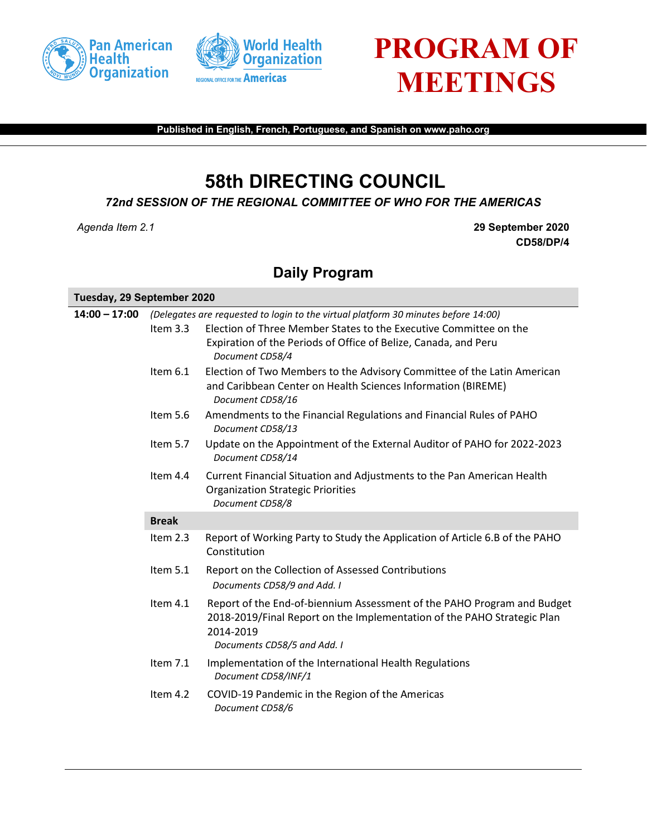



## **PROGRAM OF MEETINGS**

**Published in English, French, Portuguese, and Spanish on www.paho.org**

## **58th DIRECTING COUNCIL**

*72nd SESSION OF THE REGIONAL COMMITTEE OF WHO FOR THE AMERICAS*

*Agenda Item 2.1* **29 September 2020 CD58/DP/4**

## **Daily Program**

| Tuesday, 29 September 2020 |                                                                                    |                                                                                                                                                                                                |  |
|----------------------------|------------------------------------------------------------------------------------|------------------------------------------------------------------------------------------------------------------------------------------------------------------------------------------------|--|
| $14:00 - 17:00$            | (Delegates are requested to login to the virtual platform 30 minutes before 14:00) |                                                                                                                                                                                                |  |
|                            | Item $3.3$                                                                         | Election of Three Member States to the Executive Committee on the<br>Expiration of the Periods of Office of Belize, Canada, and Peru<br>Document CD58/4                                        |  |
|                            | Item $6.1$                                                                         | Election of Two Members to the Advisory Committee of the Latin American<br>and Caribbean Center on Health Sciences Information (BIREME)<br>Document CD58/16                                    |  |
|                            | Item 5.6                                                                           | Amendments to the Financial Regulations and Financial Rules of PAHO<br>Document CD58/13                                                                                                        |  |
|                            | Item 5.7                                                                           | Update on the Appointment of the External Auditor of PAHO for 2022-2023<br>Document CD58/14                                                                                                    |  |
|                            | Item $4.4$                                                                         | Current Financial Situation and Adjustments to the Pan American Health<br><b>Organization Strategic Priorities</b><br>Document CD58/8                                                          |  |
|                            | <b>Break</b>                                                                       |                                                                                                                                                                                                |  |
|                            | Item 2.3                                                                           | Report of Working Party to Study the Application of Article 6.B of the PAHO<br>Constitution                                                                                                    |  |
|                            | Item 5.1                                                                           | Report on the Collection of Assessed Contributions<br>Documents CD58/9 and Add. I                                                                                                              |  |
|                            | Item 4.1                                                                           | Report of the End-of-biennium Assessment of the PAHO Program and Budget<br>2018-2019/Final Report on the Implementation of the PAHO Strategic Plan<br>2014-2019<br>Documents CD58/5 and Add. I |  |
|                            | Item 7.1                                                                           | Implementation of the International Health Regulations<br>Document CD58/INF/1                                                                                                                  |  |
|                            | Item 4.2                                                                           | COVID-19 Pandemic in the Region of the Americas<br>Document CD58/6                                                                                                                             |  |